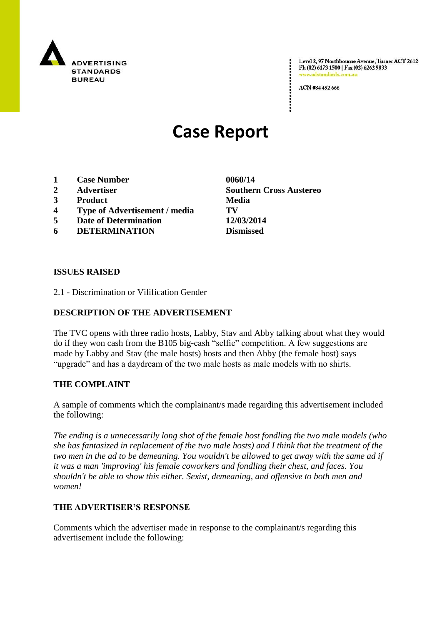

Level 2, 97 Northbourne Avenue, Turner ACT 2612 Ph (02) 6173 1500 | Fax (02) 6262 9833 www.adstandards.com.a

ACN 084 452 666

# **Case Report**

- **1 Case Number 0060/14**
- 
- **3 Product Media**
- **4 Type of Advertisement / media TV**
- **5 Date of Determination 12/03/2014**
- **6 DETERMINATION Dismissed**

**ISSUES RAISED**

2.1 - Discrimination or Vilification Gender

## **DESCRIPTION OF THE ADVERTISEMENT**

The TVC opens with three radio hosts, Labby, Stav and Abby talking about what they would do if they won cash from the B105 big-cash "selfie" competition. A few suggestions are made by Labby and Stav (the male hosts) hosts and then Abby (the female host) says "upgrade" and has a daydream of the two male hosts as male models with no shirts.

### **THE COMPLAINT**

A sample of comments which the complainant/s made regarding this advertisement included the following:

*The ending is a unnecessarily long shot of the female host fondling the two male models (who she has fantasized in replacement of the two male hosts) and I think that the treatment of the two men in the ad to be demeaning. You wouldn't be allowed to get away with the same ad if it was a man 'improving' his female coworkers and fondling their chest, and faces. You shouldn't be able to show this either. Sexist, demeaning, and offensive to both men and women!*

### **THE ADVERTISER'S RESPONSE**

Comments which the advertiser made in response to the complainant/s regarding this advertisement include the following:

**2 Advertiser Southern Cross Austereo**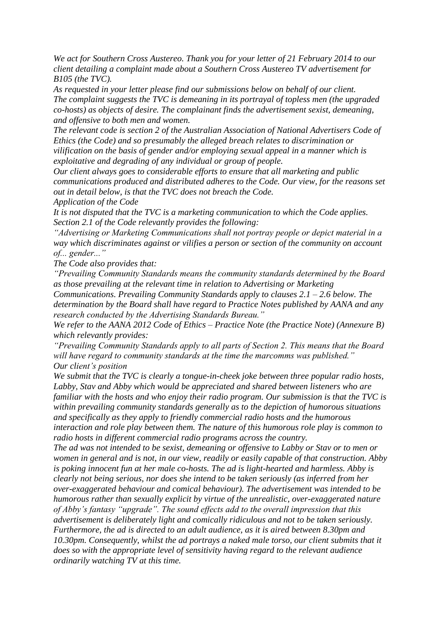*We act for Southern Cross Austereo. Thank you for your letter of 21 February 2014 to our client detailing a complaint made about a Southern Cross Austereo TV advertisement for B105 (the TVC).*

*As requested in your letter please find our submissions below on behalf of our client. The complaint suggests the TVC is demeaning in its portrayal of topless men (the upgraded co-hosts) as objects of desire. The complainant finds the advertisement sexist, demeaning, and offensive to both men and women.*

*The relevant code is section 2 of the Australian Association of National Advertisers Code of Ethics (the Code) and so presumably the alleged breach relates to discrimination or vilification on the basis of gender and/or employing sexual appeal in a manner which is exploitative and degrading of any individual or group of people.*

*Our client always goes to considerable efforts to ensure that all marketing and public communications produced and distributed adheres to the Code. Our view, for the reasons set out in detail below, is that the TVC does not breach the Code.*

*Application of the Code*

*It is not disputed that the TVC is a marketing communication to which the Code applies. Section 2.1 of the Code relevantly provides the following:*

*"Advertising or Marketing Communications shall not portray people or depict material in a way which discriminates against or vilifies a person or section of the community on account of... gender..."*

*The Code also provides that:*

*"Prevailing Community Standards means the community standards determined by the Board as those prevailing at the relevant time in relation to Advertising or Marketing* 

*Communications. Prevailing Community Standards apply to clauses 2.1 – 2.6 below. The determination by the Board shall have regard to Practice Notes published by AANA and any research conducted by the Advertising Standards Bureau."*

*We refer to the AANA 2012 Code of Ethics – Practice Note (the Practice Note) (Annexure B) which relevantly provides:*

*"Prevailing Community Standards apply to all parts of Section 2. This means that the Board will have regard to community standards at the time the marcomms was published." Our client"s position*

*We submit that the TVC is clearly a tongue-in-cheek joke between three popular radio hosts, Labby, Stav and Abby which would be appreciated and shared between listeners who are familiar with the hosts and who enjoy their radio program. Our submission is that the TVC is within prevailing community standards generally as to the depiction of humorous situations and specifically as they apply to friendly commercial radio hosts and the humorous interaction and role play between them. The nature of this humorous role play is common to radio hosts in different commercial radio programs across the country.*

*The ad was not intended to be sexist, demeaning or offensive to Labby or Stav or to men or women in general and is not, in our view, readily or easily capable of that construction. Abby is poking innocent fun at her male co-hosts. The ad is light-hearted and harmless. Abby is clearly not being serious, nor does she intend to be taken seriously (as inferred from her over-exaggerated behaviour and comical behaviour). The advertisement was intended to be humorous rather than sexually explicit by virtue of the unrealistic, over-exaggerated nature of Abby"s fantasy "upgrade". The sound effects add to the overall impression that this advertisement is deliberately light and comically ridiculous and not to be taken seriously. Furthermore, the ad is directed to an adult audience, as it is aired between 8.30pm and 10.30pm. Consequently, whilst the ad portrays a naked male torso, our client submits that it does so with the appropriate level of sensitivity having regard to the relevant audience ordinarily watching TV at this time.*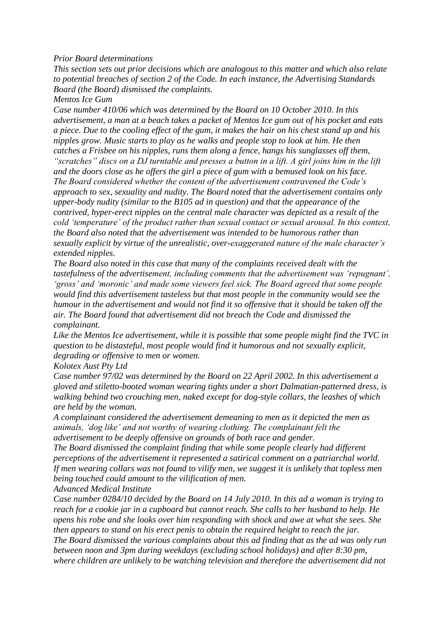#### *Prior Board determinations*

*This section sets out prior decisions which are analogous to this matter and which also relate to potential breaches of section 2 of the Code. In each instance, the Advertising Standards Board (the Board) dismissed the complaints.*

*Mentos Ice Gum*

*Case number 410/06 which was determined by the Board on 10 October 2010. In this advertisement, a man at a beach takes a packet of Mentos Ice gum out of his pocket and eats a piece. Due to the cooling effect of the gum, it makes the hair on his chest stand up and his nipples grow. Music starts to play as he walks and people stop to look at him. He then catches a Frisbee on his nipples, runs them along a fence, hangs his sunglasses off them, "scratches" discs on a DJ turntable and presses a button in a lift. A girl joins him in the lift and the doors close as he offers the girl a piece of gum with a bemused look on his face. The Board considered whether the content of the advertisement contravened the Code"s approach to sex, sexuality and nudity. The Board noted that the advertisement contains only upper-body nudity (similar to the B105 ad in question) and that the appearance of the contrived, hyper-erect nipples on the central male character was depicted as a result of the cold "temperature" of the product rather than sexual contact or sexual arousal. In this context, the Board also noted that the advertisement was intended to be humorous rather than sexually explicit by virtue of the unrealistic, over-exaggerated nature of the male character"s extended nipples.*

*The Board also noted in this case that many of the complaints received dealt with the tastefulness of the advertisement, including comments that the advertisement was "repugnant", "gross" and "moronic" and made some viewers feel sick. The Board agreed that some people would find this advertisement tasteless but that most people in the community would see the humour in the advertisement and would not find it so offensive that it should be taken off the air. The Board found that advertisement did not breach the Code and dismissed the complainant.*

*Like the Mentos Ice advertisement, while it is possible that some people might find the TVC in question to be distasteful, most people would find it humorous and not sexually explicit, degrading or offensive to men or women.*

*Kolotex Aust Pty Ltd*

*Case number 97/02 was determined by the Board on 22 April 2002. In this advertisement a gloved and stiletto-booted woman wearing tights under a short Dalmatian-patterned dress, is walking behind two crouching men, naked except for dog-style collars, the leashes of which are held by the woman.*

*A complainant considered the advertisement demeaning to men as it depicted the men as animals, "dog like" and not worthy of wearing clothing. The complainant felt the advertisement to be deeply offensive on grounds of both race and gender.*

*The Board dismissed the complaint finding that while some people clearly had different perceptions of the advertisement it represented a satirical comment on a patriarchal world. If men wearing collars was not found to vilify men, we suggest it is unlikely that topless men being touched could amount to the vilification of men.*

*Advanced Medical Institute*

*Case number 0284/10 decided by the Board on 14 July 2010. In this ad a woman is trying to reach for a cookie jar in a cupboard but cannot reach. She calls to her husband to help. He opens his robe and she looks over him responding with shock and awe at what she sees. She then appears to stand on his erect penis to obtain the required height to reach the jar. The Board dismissed the various complaints about this ad finding that as the ad was only run between noon and 3pm during weekdays (excluding school holidays) and after 8:30 pm, where children are unlikely to be watching television and therefore the advertisement did not*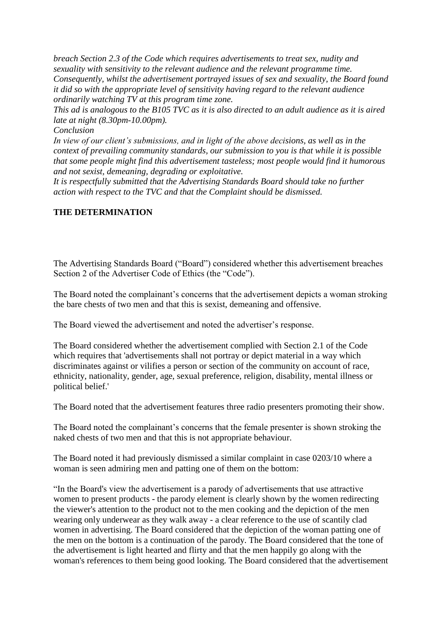*breach Section 2.3 of the Code which requires advertisements to treat sex, nudity and sexuality with sensitivity to the relevant audience and the relevant programme time. Consequently, whilst the advertisement portrayed issues of sex and sexuality, the Board found it did so with the appropriate level of sensitivity having regard to the relevant audience ordinarily watching TV at this program time zone.*

*This ad is analogous to the B105 TVC as it is also directed to an adult audience as it is aired late at night (8.30pm-10.00pm).*

*Conclusion*

*In view of our client"s submissions, and in light of the above decisions, as well as in the context of prevailing community standards, our submission to you is that while it is possible that some people might find this advertisement tasteless; most people would find it humorous and not sexist, demeaning, degrading or exploitative.*

*It is respectfully submitted that the Advertising Standards Board should take no further action with respect to the TVC and that the Complaint should be dismissed.*

### **THE DETERMINATION**

The Advertising Standards Board ("Board") considered whether this advertisement breaches Section 2 of the Advertiser Code of Ethics (the "Code").

The Board noted the complainant's concerns that the advertisement depicts a woman stroking the bare chests of two men and that this is sexist, demeaning and offensive.

The Board viewed the advertisement and noted the advertiser"s response.

The Board considered whether the advertisement complied with Section 2.1 of the Code which requires that 'advertisements shall not portray or depict material in a way which discriminates against or vilifies a person or section of the community on account of race, ethnicity, nationality, gender, age, sexual preference, religion, disability, mental illness or political belief.'

The Board noted that the advertisement features three radio presenters promoting their show.

The Board noted the complainant"s concerns that the female presenter is shown stroking the naked chests of two men and that this is not appropriate behaviour.

The Board noted it had previously dismissed a similar complaint in case 0203/10 where a woman is seen admiring men and patting one of them on the bottom:

"In the Board's view the advertisement is a parody of advertisements that use attractive women to present products - the parody element is clearly shown by the women redirecting the viewer's attention to the product not to the men cooking and the depiction of the men wearing only underwear as they walk away - a clear reference to the use of scantily clad women in advertising. The Board considered that the depiction of the woman patting one of the men on the bottom is a continuation of the parody. The Board considered that the tone of the advertisement is light hearted and flirty and that the men happily go along with the woman's references to them being good looking. The Board considered that the advertisement